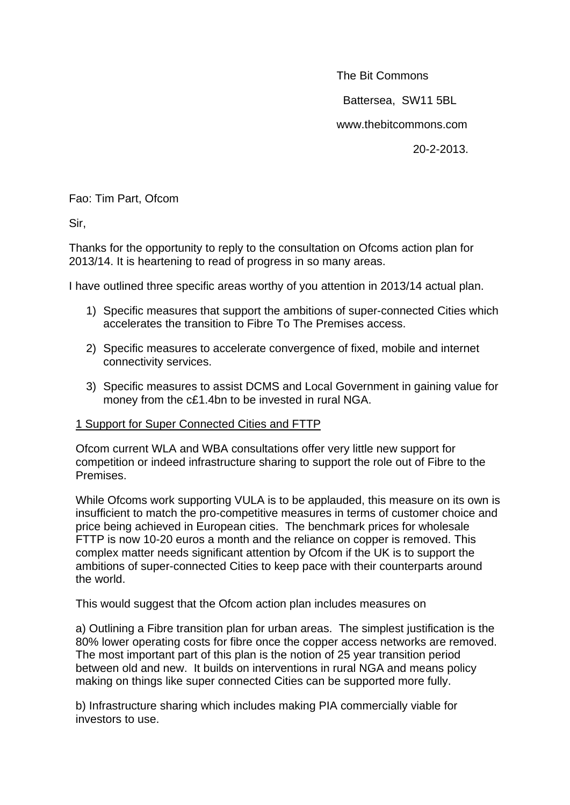The Bit Commons

Battersea, SW11 5BL

www.thebitcommons.com

20-2-2013.

Fao: Tim Part, Ofcom

Sir,

Thanks for the opportunity to reply to the consultation on Ofcoms action plan for 2013/14. It is heartening to read of progress in so many areas.

I have outlined three specific areas worthy of you attention in 2013/14 actual plan.

- 1) Specific measures that support the ambitions of super-connected Cities which accelerates the transition to Fibre To The Premises access.
- 2) Specific measures to accelerate convergence of fixed, mobile and internet connectivity services.
- 3) Specific measures to assist DCMS and Local Government in gaining value for money from the c£1.4bn to be invested in rural NGA.

## 1 Support for Super Connected Cities and FTTP

Ofcom current WLA and WBA consultations offer very little new support for competition or indeed infrastructure sharing to support the role out of Fibre to the Premises.

While Ofcoms work supporting VULA is to be applauded, this measure on its own is insufficient to match the pro-competitive measures in terms of customer choice and price being achieved in European cities. The benchmark prices for wholesale FTTP is now 10-20 euros a month and the reliance on copper is removed. This complex matter needs significant attention by Ofcom if the UK is to support the ambitions of super-connected Cities to keep pace with their counterparts around the world.

This would suggest that the Ofcom action plan includes measures on

a) Outlining a Fibre transition plan for urban areas. The simplest justification is the 80% lower operating costs for fibre once the copper access networks are removed. The most important part of this plan is the notion of 25 year transition period between old and new. It builds on interventions in rural NGA and means policy making on things like super connected Cities can be supported more fully.

b) Infrastructure sharing which includes making PIA commercially viable for investors to use.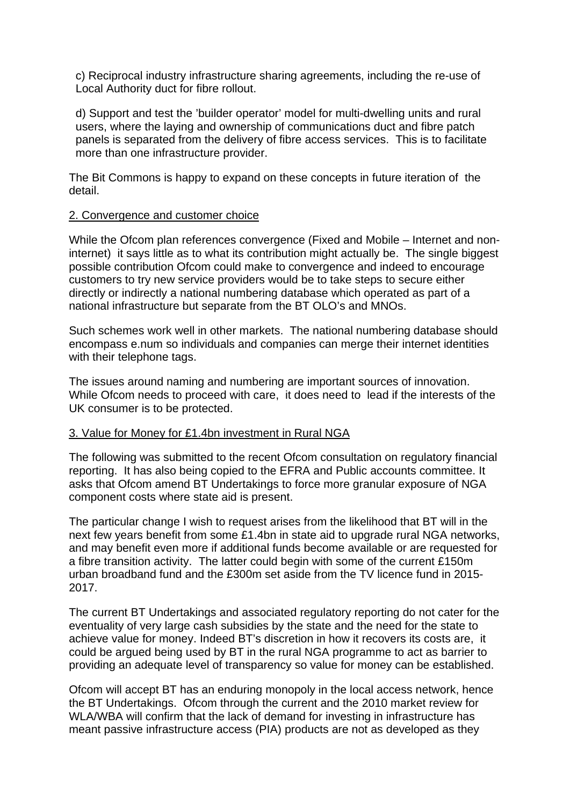c) Reciprocal industry infrastructure sharing agreements, including the re-use of Local Authority duct for fibre rollout.

d) Support and test the 'builder operator' model for multi-dwelling units and rural users, where the laying and ownership of communications duct and fibre patch panels is separated from the delivery of fibre access services. This is to facilitate more than one infrastructure provider.

The Bit Commons is happy to expand on these concepts in future iteration of the detail.

## 2. Convergence and customer choice

While the Ofcom plan references convergence (Fixed and Mobile – Internet and noninternet) it says little as to what its contribution might actually be. The single biggest possible contribution Ofcom could make to convergence and indeed to encourage customers to try new service providers would be to take steps to secure either directly or indirectly a national numbering database which operated as part of a national infrastructure but separate from the BT OLO's and MNOs.

Such schemes work well in other markets. The national numbering database should encompass e.num so individuals and companies can merge their internet identities with their telephone tags.

The issues around naming and numbering are important sources of innovation. While Ofcom needs to proceed with care, it does need to lead if the interests of the UK consumer is to be protected.

## 3. Value for Money for £1.4bn investment in Rural NGA

The following was submitted to the recent Ofcom consultation on regulatory financial reporting. It has also being copied to the EFRA and Public accounts committee. It asks that Ofcom amend BT Undertakings to force more granular exposure of NGA component costs where state aid is present.

The particular change I wish to request arises from the likelihood that BT will in the next few years benefit from some £1.4bn in state aid to upgrade rural NGA networks, and may benefit even more if additional funds become available or are requested for a fibre transition activity. The latter could begin with some of the current £150m urban broadband fund and the £300m set aside from the TV licence fund in 2015- 2017.

The current BT Undertakings and associated regulatory reporting do not cater for the eventuality of very large cash subsidies by the state and the need for the state to achieve value for money. Indeed BT's discretion in how it recovers its costs are, it could be argued being used by BT in the rural NGA programme to act as barrier to providing an adequate level of transparency so value for money can be established.

Ofcom will accept BT has an enduring monopoly in the local access network, hence the BT Undertakings. Ofcom through the current and the 2010 market review for WLA/WBA will confirm that the lack of demand for investing in infrastructure has meant passive infrastructure access (PIA) products are not as developed as they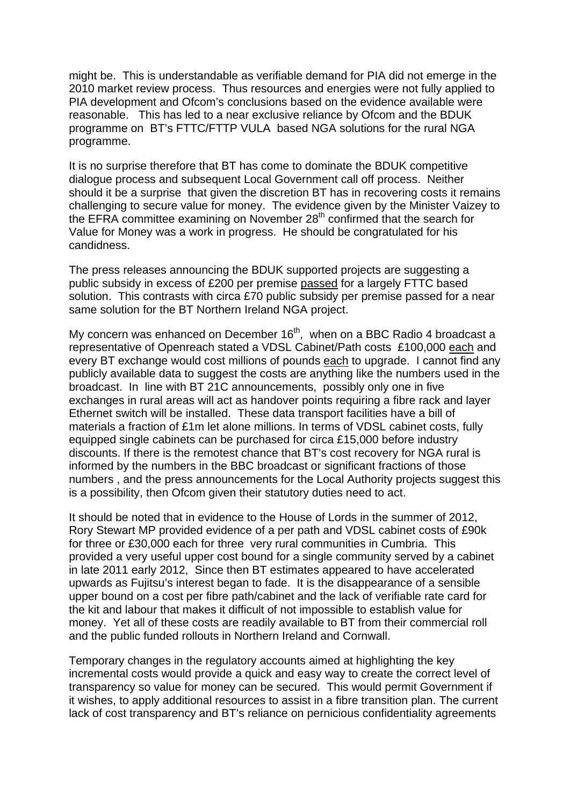might be. This is understandable as verifiable demand for PIA did not emerge in the 2010 market review process. Thus resources and energies were not fully applied to PIA development and Ofcom's conclusions based on the evidence available were reasonable. This has led to a near exclusive reliance by Ofcom and the BDUK programme on BT's FTTC/FTTP VULA based NGA solutions for the rural NGA programme.

It is no surprise therefore that BT has come to dominate the BDUK competitive dialogue process and subsequent Local Government call off process. Neither should it be a surprise that given the discretion BT has in recovering costs it remains challenging to secure value for money. The evidence given by the Minister Vaizey to the EFRA committee examining on November  $28<sup>th</sup>$  confirmed that the search for Value for Money was a work in progress. He should be congratulated for his candidness.

The press releases announcing the BDUK supported projects are suggesting a public subsidy in excess of £200 per premise passed for a largely FTTC based solution. This contrasts with circa £70 public subsidy per premise passed for a near same solution for the BT Northern Ireland NGA project.

My concern was enhanced on December  $16<sup>th</sup>$ , when on a BBC Radio 4 broadcast a representative of Openreach stated a VDSL Cabinet/Path costs £100,000 each and every BT exchange would cost millions of pounds each to upgrade. I cannot find any publicly available data to suggest the costs are anything like the numbers used in the broadcast. In line with BT 21C announcements, possibly only one in five exchanges in rural areas will act as handover points requiring a fibre rack and layer Ethernet switch will be installed. These data transport facilities have a bill of materials a fraction of £1m let alone millions. In terms of VDSL cabinet costs, fully equipped single cabinets can be purchased for circa £15,000 before industry discounts. If there is the remotest chance that BT's cost recovery for NGA rural is informed by the numbers in the BBC broadcast or significant fractions of those numbers , and the press announcements for the Local Authority projects suggest this is a possibility, then Ofcom given their statutory duties need to act.

It should be noted that in evidence to the House of Lords in the summer of 2012, Rory Stewart MP provided evidence of a per path and VDSL cabinet costs of £90k for three or £30,000 each for three very rural communities in Cumbria. This provided a very useful upper cost bound for a single community served by a cabinet in late 2011 early 2012, Since then BT estimates appeared to have accelerated upwards as Fujitsu's interest began to fade. It is the disappearance of a sensible upper bound on a cost per fibre path/cabinet and the lack of verifiable rate card for the kit and labour that makes it difficult of not impossible to establish value for money. Yet all of these costs are readily available to BT from their commercial roll and the public funded rollouts in Northern Ireland and Cornwall.

Temporary changes in the regulatory accounts aimed at highlighting the key incremental costs would provide a quick and easy way to create the correct level of transparency so value for money can be secured. This would permit Government if it wishes, to apply additional resources to assist in a fibre transition plan. The current lack of cost transparency and BT's reliance on pernicious confidentiality agreements